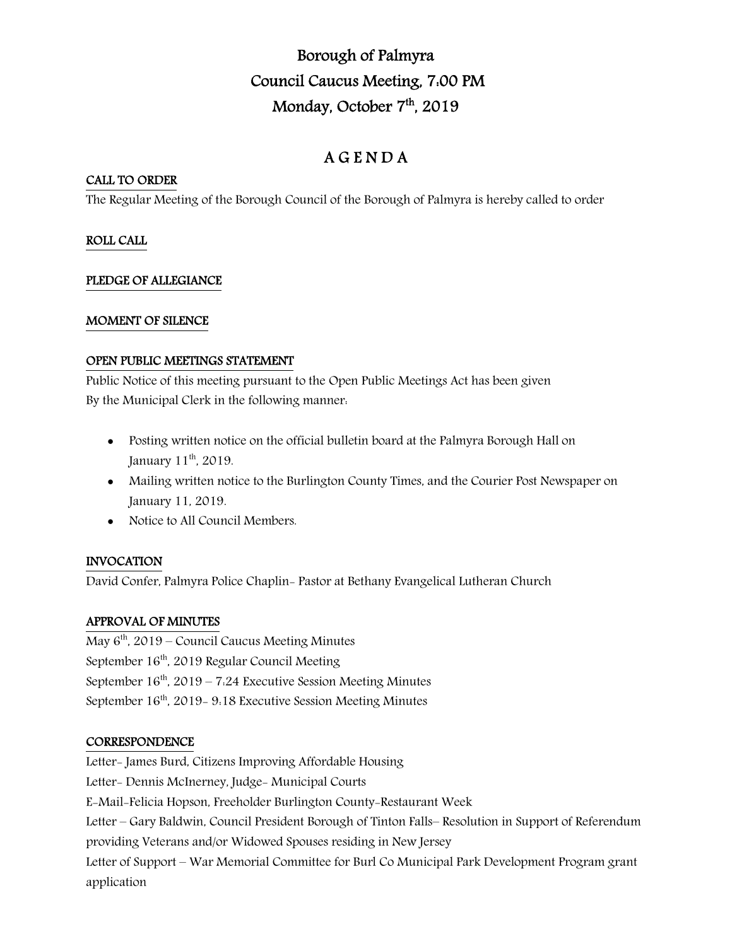# Borough of Palmyra Council Caucus Meeting, 7:00 PM Monday, October 7<sup>th</sup>, 2019

## A G E N D A

## CALL TO ORDER

The Regular Meeting of the Borough Council of the Borough of Palmyra is hereby called to order

## ROLL CALL

## PLEDGE OF ALLEGIANCE

## MOMENT OF SILENCE

## OPEN PUBLIC MEETINGS STATEMENT

Public Notice of this meeting pursuant to the Open Public Meetings Act has been given By the Municipal Clerk in the following manner:

- Posting written notice on the official bulletin board at the Palmyra Borough Hall on January 11<sup>th</sup>, 2019.
- Mailing written notice to the Burlington County Times, and the Courier Post Newspaper on January 11, 2019.
- Notice to All Council Members.

## INVOCATION

David Confer, Palmyra Police Chaplin- Pastor at Bethany Evangelical Lutheran Church

## APPROVAL OF MINUTES

May  $6<sup>th</sup>$ , 2019 – Council Caucus Meeting Minutes September  $16<sup>th</sup>$ , 2019 Regular Council Meeting September  $16<sup>th</sup>$ , 2019 – 7:24 Executive Session Meeting Minutes September 16<sup>th</sup>, 2019- 9:18 Executive Session Meeting Minutes

## **CORRESPONDENCE**

Letter- James Burd, Citizens Improving Affordable Housing Letter- Dennis McInerney, Judge- Municipal Courts E-Mail-Felicia Hopson, Freeholder Burlington County-Restaurant Week Letter – Gary Baldwin, Council President Borough of Tinton Falls– Resolution in Support of Referendum providing Veterans and/or Widowed Spouses residing in New Jersey Letter of Support – War Memorial Committee for Burl Co Municipal Park Development Program grant application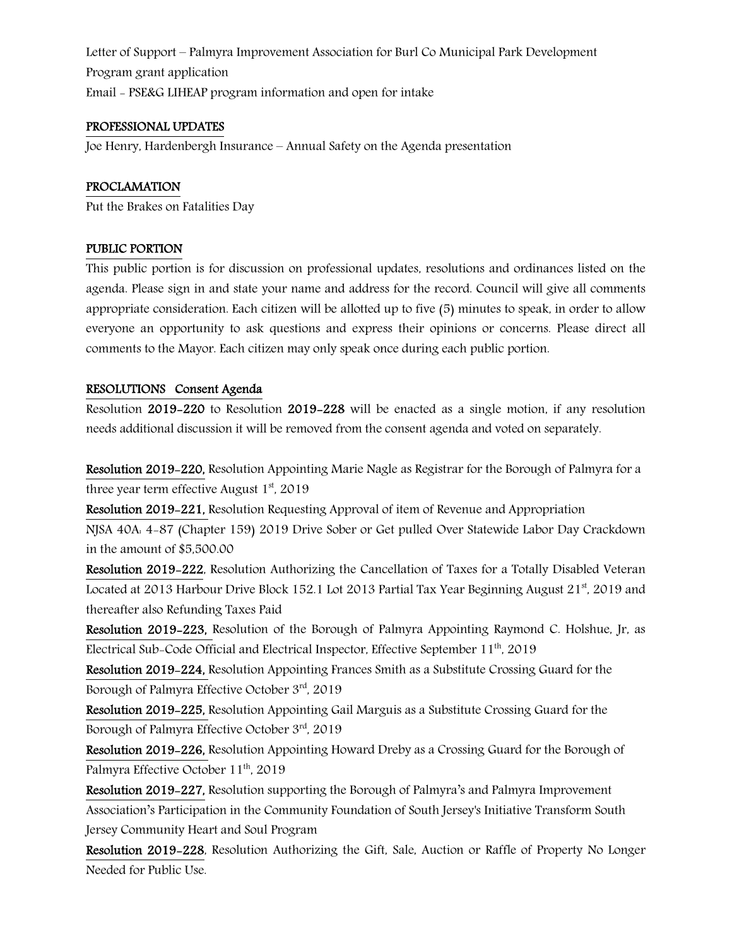Letter of Support – Palmyra Improvement Association for Burl Co Municipal Park Development Program grant application Email - PSE&G LIHEAP program information and open for intake

#### PROFESSIONAL UPDATES

Joe Henry, Hardenbergh Insurance – Annual Safety on the Agenda presentation

### PROCLAMATION

Put the Brakes on Fatalities Day

#### PUBLIC PORTION

This public portion is for discussion on professional updates, resolutions and ordinances listed on the agenda. Please sign in and state your name and address for the record. Council will give all comments appropriate consideration. Each citizen will be allotted up to five (5) minutes to speak, in order to allow everyone an opportunity to ask questions and express their opinions or concerns. Please direct all comments to the Mayor. Each citizen may only speak once during each public portion.

#### RESOLUTIONS Consent Agenda

Resolution 2019-220 to Resolution 2019-228 will be enacted as a single motion, if any resolution needs additional discussion it will be removed from the consent agenda and voted on separately.

Resolution 2019-220, Resolution Appointing Marie Nagle as Registrar for the Borough of Palmyra for a three year term effective August  $1<sup>st</sup>$ , 2019

Resolution 2019-221, Resolution Requesting Approval of item of Revenue and Appropriation

NJSA 40A: 4-87 (Chapter 159) 2019 Drive Sober or Get pulled Over Statewide Labor Day Crackdown in the amount of \$5,500.00

Resolution 2019-222, Resolution Authorizing the Cancellation of Taxes for a Totally Disabled Veteran Located at 2013 Harbour Drive Block 152.1 Lot 2013 Partial Tax Year Beginning August 21<sup>st</sup>, 2019 and thereafter also Refunding Taxes Paid

Resolution 2019-223, Resolution of the Borough of Palmyra Appointing Raymond C. Holshue, Jr, as Electrical Sub-Code Official and Electrical Inspector, Effective September 11th, 2019

Resolution 2019-224, Resolution Appointing Frances Smith as a Substitute Crossing Guard for the Borough of Palmyra Effective October 3rd, 2019

Resolution 2019-225, Resolution Appointing Gail Marguis as a Substitute Crossing Guard for the Borough of Palmyra Effective October 3rd, 2019

Resolution 2019-226, Resolution Appointing Howard Dreby as a Crossing Guard for the Borough of Palmyra Effective October 11<sup>th</sup>, 2019

Resolution 2019-227, Resolution supporting the Borough of Palmyra's and Palmyra Improvement Association's Participation in the Community Foundation of South Jersey's Initiative Transform South Jersey Community Heart and Soul Program

Resolution 2019-228, Resolution Authorizing the Gift, Sale, Auction or Raffle of Property No Longer Needed for Public Use.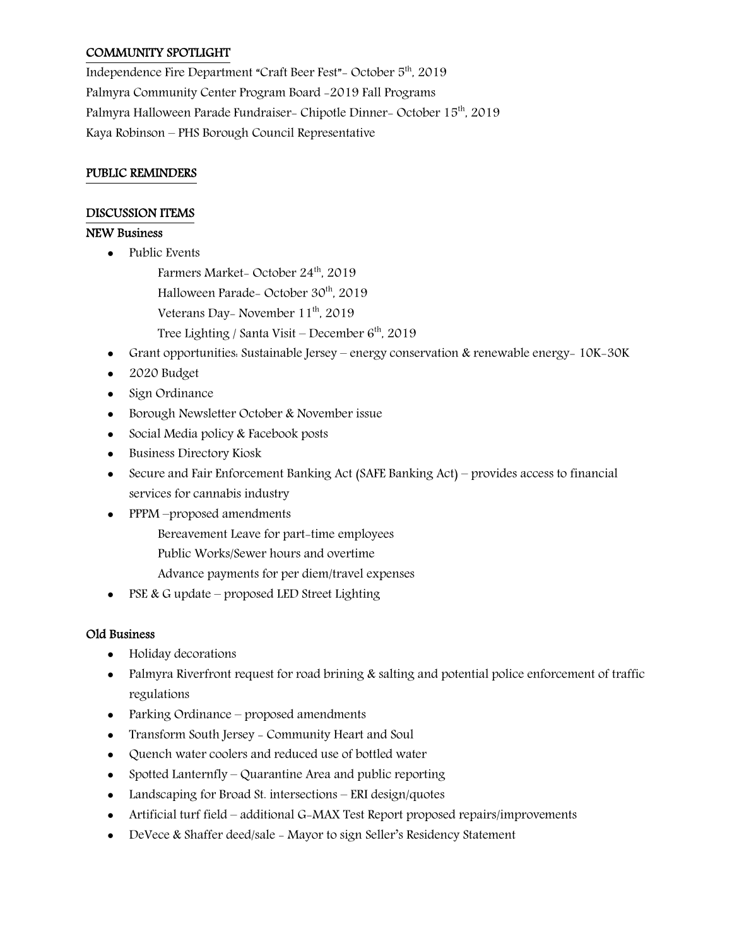## COMMUNITY SPOTLIGHT

Independence Fire Department "Craft Beer Fest"- October 5th, 2019 Palmyra Community Center Program Board -2019 Fall Programs Palmyra Halloween Parade Fundraiser- Chipotle Dinner- October 15<sup>th</sup>, 2019 Kaya Robinson – PHS Borough Council Representative

#### PUBLIC REMINDERS

#### DISCUSSION ITEMS

#### NEW Business

- Public Events
	- Farmers Market- October 24<sup>th</sup>, 2019
	- Halloween Parade- October 30<sup>th</sup>, 2019
	- Veterans Day- November 11<sup>th</sup>, 2019
	- Tree Lighting / Santa Visit December  $6<sup>th</sup>$ , 2019
- Grant opportunities: Sustainable Jersey energy conservation & renewable energy- 10K-30K
- 2020 Budget
- Sign Ordinance
- Borough Newsletter October & November issue
- Social Media policy & Facebook posts
- Business Directory Kiosk
- Secure and Fair Enforcement Banking Act (SAFE Banking Act) provides access to financial services for cannabis industry
- PPPM –proposed amendments
	- Bereavement Leave for part-time employees
	- Public Works/Sewer hours and overtime
	- Advance payments for per diem/travel expenses
- PSE & G update proposed LED Street Lighting

## Old Business

- Holiday decorations
- Palmyra Riverfront request for road brining & salting and potential police enforcement of traffic regulations
- Parking Ordinance proposed amendments
- Transform South Jersey Community Heart and Soul
- Quench water coolers and reduced use of bottled water
- Spotted Lanternfly Quarantine Area and public reporting
- Landscaping for Broad St. intersections ERI design/quotes
- Artificial turf field additional G-MAX Test Report proposed repairs/improvements
- DeVece & Shaffer deed/sale Mayor to sign Seller's Residency Statement